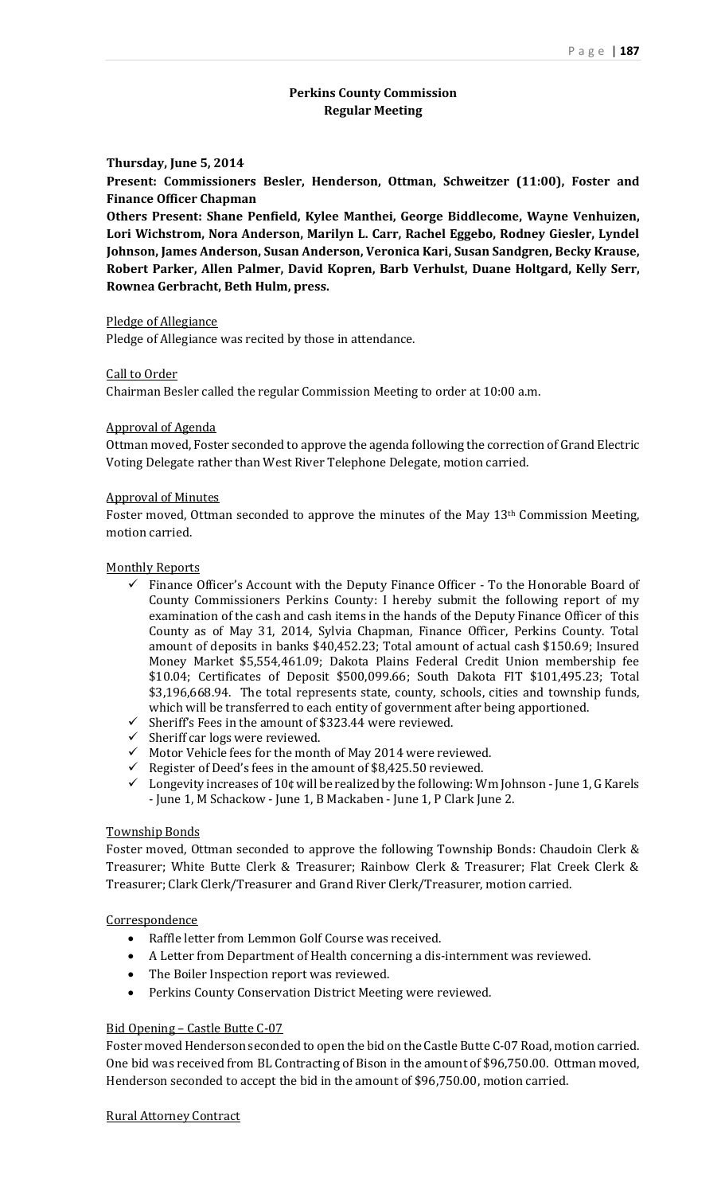# **Perkins County Commission Regular Meeting**

#### **Thursday, June 5, 2014**

**Present: Commissioners Besler, Henderson, Ottman, Schweitzer (11:00), Foster and Finance Officer Chapman**

**Others Present: Shane Penfield, Kylee Manthei, George Biddlecome, Wayne Venhuizen, Lori Wichstrom, Nora Anderson, Marilyn L. Carr, Rachel Eggebo, Rodney Giesler, Lyndel Johnson, James Anderson, Susan Anderson, Veronica Kari, Susan Sandgren, Becky Krause, Robert Parker, Allen Palmer, David Kopren, Barb Verhulst, Duane Holtgard, Kelly Serr, Rownea Gerbracht, Beth Hulm, press.**

#### Pledge of Allegiance

Pledge of Allegiance was recited by those in attendance.

#### Call to Order

Chairman Besler called the regular Commission Meeting to order at 10:00 a.m.

#### Approval of Agenda

Ottman moved, Foster seconded to approve the agenda following the correction of Grand Electric Voting Delegate rather than West River Telephone Delegate, motion carried.

#### Approval of Minutes

Foster moved, Ottman seconded to approve the minutes of the May 13th Commission Meeting, motion carried.

#### Monthly Reports

- $\checkmark$  Finance Officer's Account with the Deputy Finance Officer To the Honorable Board of County Commissioners Perkins County: I hereby submit the following report of my examination of the cash and cash items in the hands of the Deputy Finance Officer of this County as of May 31, 2014, Sylvia Chapman, Finance Officer, Perkins County. Total amount of deposits in banks \$40,452.23; Total amount of actual cash \$150.69; Insured Money Market \$5,554,461.09; Dakota Plains Federal Credit Union membership fee \$10.04; Certificates of Deposit \$500,099.66; South Dakota FIT \$101,495.23; Total \$3,196,668.94. The total represents state, county, schools, cities and township funds, which will be transferred to each entity of government after being apportioned.
- $\checkmark$  Sheriff's Fees in the amount of \$323.44 were reviewed.
- $\checkmark$  Sheriff car logs were reviewed.
- $\checkmark$  Motor Vehicle fees for the month of May 2014 were reviewed.
- Register of Deed's fees in the amount of  $$8,425.50$  reviewed.
- $\checkmark$  Longevity increases of 10¢ will be realized by the following: Wm Johnson June 1, G Karels - June 1, M Schackow - June 1, B Mackaben - June 1, P Clark June 2.

#### Township Bonds

Foster moved, Ottman seconded to approve the following Township Bonds: Chaudoin Clerk & Treasurer; White Butte Clerk & Treasurer; Rainbow Clerk & Treasurer; Flat Creek Clerk & Treasurer; Clark Clerk/Treasurer and Grand River Clerk/Treasurer, motion carried.

#### Correspondence

- Raffle letter from Lemmon Golf Course was received.
- A Letter from Department of Health concerning a dis-internment was reviewed.
- The Boiler Inspection report was reviewed.
- Perkins County Conservation District Meeting were reviewed.

#### Bid Opening – Castle Butte C-07

Foster moved Henderson seconded to open the bid on the Castle Butte C-07 Road, motion carried. One bid was received from BL Contracting of Bison in the amount of \$96,750.00. Ottman moved, Henderson seconded to accept the bid in the amount of \$96,750.00, motion carried.

#### Rural Attorney Contract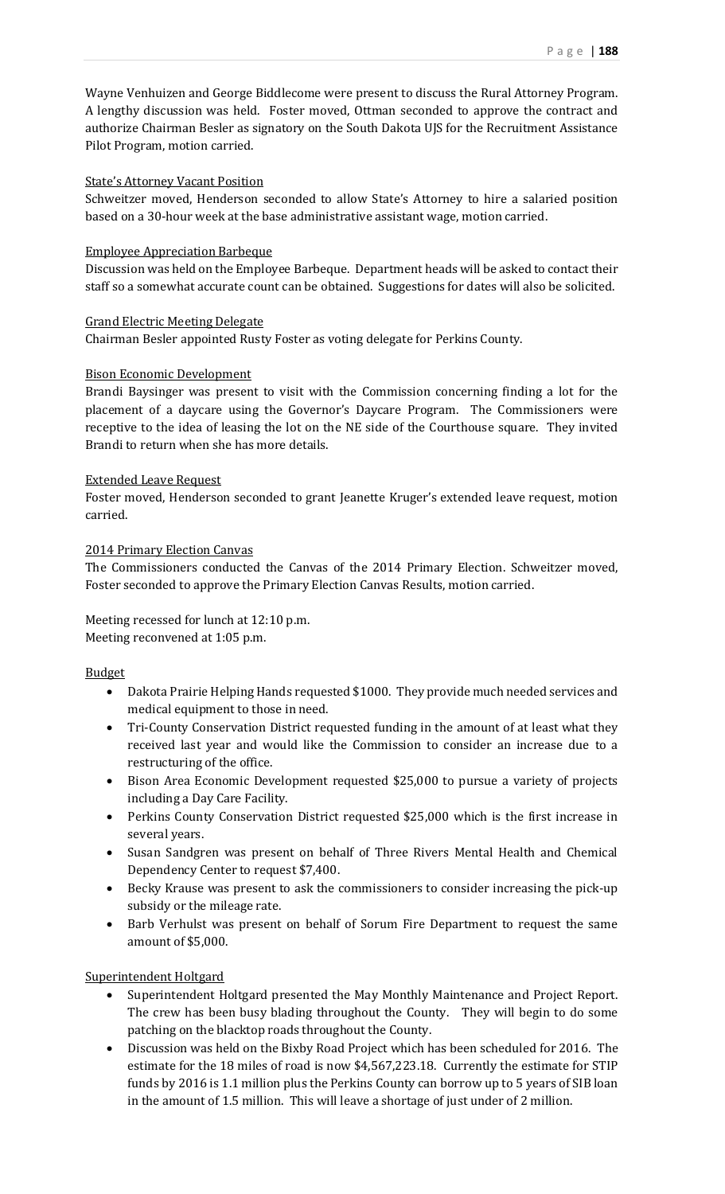Wayne Venhuizen and George Biddlecome were present to discuss the Rural Attorney Program. A lengthy discussion was held. Foster moved, Ottman seconded to approve the contract and authorize Chairman Besler as signatory on the South Dakota UJS for the Recruitment Assistance Pilot Program, motion carried.

## State's Attorney Vacant Position

Schweitzer moved, Henderson seconded to allow State's Attorney to hire a salaried position based on a 30-hour week at the base administrative assistant wage, motion carried.

## Employee Appreciation Barbeque

Discussion was held on the Employee Barbeque. Department heads will be asked to contact their staff so a somewhat accurate count can be obtained. Suggestions for dates will also be solicited.

## Grand Electric Meeting Delegate

Chairman Besler appointed Rusty Foster as voting delegate for Perkins County.

## Bison Economic Development

Brandi Baysinger was present to visit with the Commission concerning finding a lot for the placement of a daycare using the Governor's Daycare Program. The Commissioners were receptive to the idea of leasing the lot on the NE side of the Courthouse square. They invited Brandi to return when she has more details.

## Extended Leave Request

Foster moved, Henderson seconded to grant Jeanette Kruger's extended leave request, motion carried.

## 2014 Primary Election Canvas

The Commissioners conducted the Canvas of the 2014 Primary Election. Schweitzer moved, Foster seconded to approve the Primary Election Canvas Results, motion carried.

## Meeting recessed for lunch at 12:10 p.m. Meeting reconvened at 1:05 p.m.

# Budget

- Dakota Prairie Helping Hands requested \$1000. They provide much needed services and medical equipment to those in need.
- Tri-County Conservation District requested funding in the amount of at least what they received last year and would like the Commission to consider an increase due to a restructuring of the office.
- Bison Area Economic Development requested \$25,000 to pursue a variety of projects including a Day Care Facility.
- Perkins County Conservation District requested \$25,000 which is the first increase in several years.
- Susan Sandgren was present on behalf of Three Rivers Mental Health and Chemical Dependency Center to request \$7,400.
- Becky Krause was present to ask the commissioners to consider increasing the pick-up subsidy or the mileage rate.
- Barb Verhulst was present on behalf of Sorum Fire Department to request the same amount of \$5,000.

# Superintendent Holtgard

- Superintendent Holtgard presented the May Monthly Maintenance and Project Report. The crew has been busy blading throughout the County. They will begin to do some patching on the blacktop roads throughout the County.
- Discussion was held on the Bixby Road Project which has been scheduled for 2016. The estimate for the 18 miles of road is now \$4,567,223.18. Currently the estimate for STIP funds by 2016 is 1.1 million plus the Perkins County can borrow up to 5 years of SIB loan in the amount of 1.5 million. This will leave a shortage of just under of 2 million.